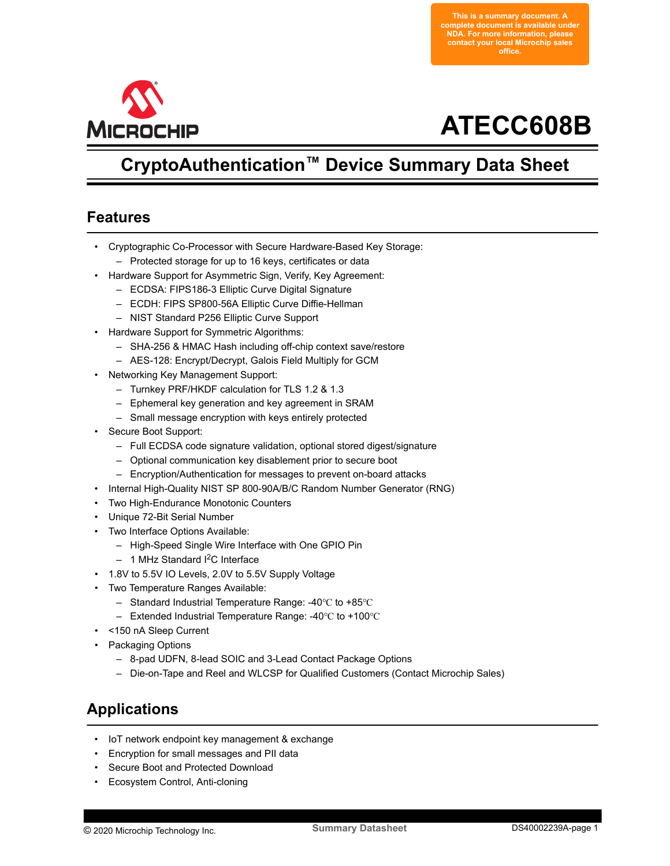**This is a summary document. A complete document is available under NDA. For more information, please contact your local Microchip sales office.**

<span id="page-0-0"></span>

# **ATECC608B**

## **CryptoAuthentication™ Device Summary Data Sheet**

## **Features**

- Cryptographic Co-Processor with Secure Hardware-Based Key Storage:
	- Protected storage for up to 16 keys, certificates or data
- Hardware Support for Asymmetric Sign, Verify, Key Agreement:
	- ECDSA: FIPS186-3 Elliptic Curve Digital Signature
	- ECDH: FIPS SP800-56A Elliptic Curve Diffie-Hellman
	- NIST Standard P256 Elliptic Curve Support
- Hardware Support for Symmetric Algorithms:
	- SHA-256 & HMAC Hash including off-chip context save/restore
	- AES-128: Encrypt/Decrypt, Galois Field Multiply for GCM
- Networking Key Management Support:
	- Turnkey PRF/HKDF calculation for TLS 1.2 & 1.3
	- Ephemeral key generation and key agreement in SRAM
	- Small message encryption with keys entirely protected
- Secure Boot Support:
	- Full ECDSA code signature validation, optional stored digest/signature
	- Optional communication key disablement prior to secure boot
	- Encryption/Authentication for messages to prevent on-board attacks
- Internal High-Quality NIST SP 800-90A/B/C Random Number Generator (RNG)
- Two High-Endurance Monotonic Counters
- Unique 72-Bit Serial Number
- Two Interface Options Available:
	- High-Speed Single Wire Interface with One GPIO Pin
	- $-$  1 MHz Standard I<sup>2</sup>C Interface
- 1.8V to 5.5V IO Levels, 2.0V to 5.5V Supply Voltage
- Two Temperature Ranges Available:
	- Standard Industrial Temperature Range: -40℃ to +85℃
	- Extended Industrial Temperature Range: -40℃ to +100℃
- <150 nA Sleep Current
- Packaging Options
	- 8-pad UDFN, 8-lead SOIC and 3-Lead Contact Package Options
	- Die-on-Tape and Reel and WLCSP for Qualified Customers (Contact Microchip Sales)

## **Applications**

- IoT network endpoint key management & exchange
- Encryption for small messages and PII data
- Secure Boot and Protected Download
- Ecosystem Control, Anti-cloning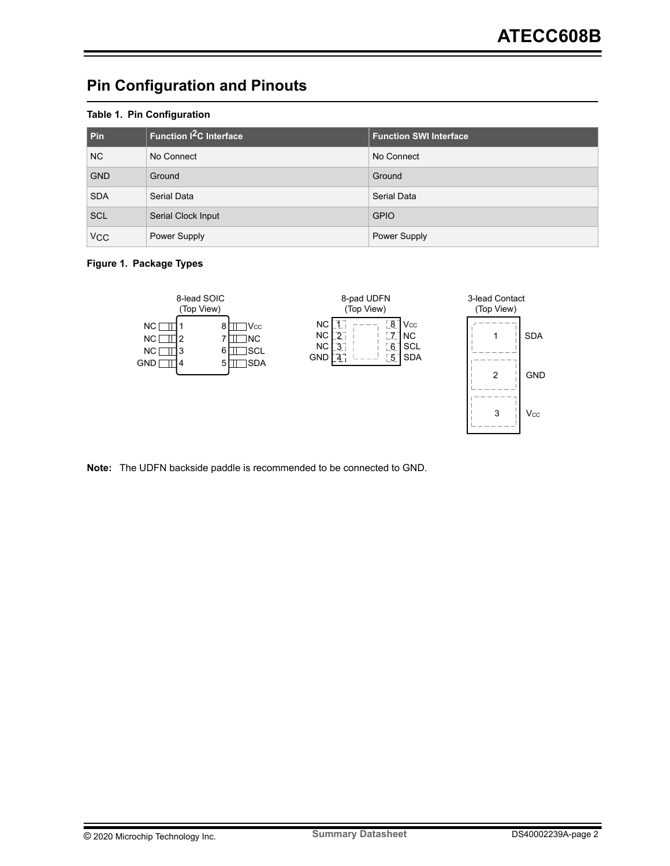## <span id="page-1-0"></span>**Pin Configuration and Pinouts**

#### **Table 1. Pin Configuration**

| Pin                   | Function <sup>2</sup> C Interface | <b>Function SWI Interface</b> |
|-----------------------|-----------------------------------|-------------------------------|
| N <sub>C</sub>        | No Connect                        | No Connect                    |
| <b>GND</b>            | Ground                            | Ground                        |
| <b>SDA</b>            | Serial Data                       | Serial Data                   |
| <b>SCL</b>            | Serial Clock Input                | <b>GPIO</b>                   |
| <b>V<sub>CC</sub></b> | Power Supply                      | <b>Power Supply</b>           |

#### **Figure 1. Package Types**



**Note:**  The UDFN backside paddle is recommended to be connected to GND.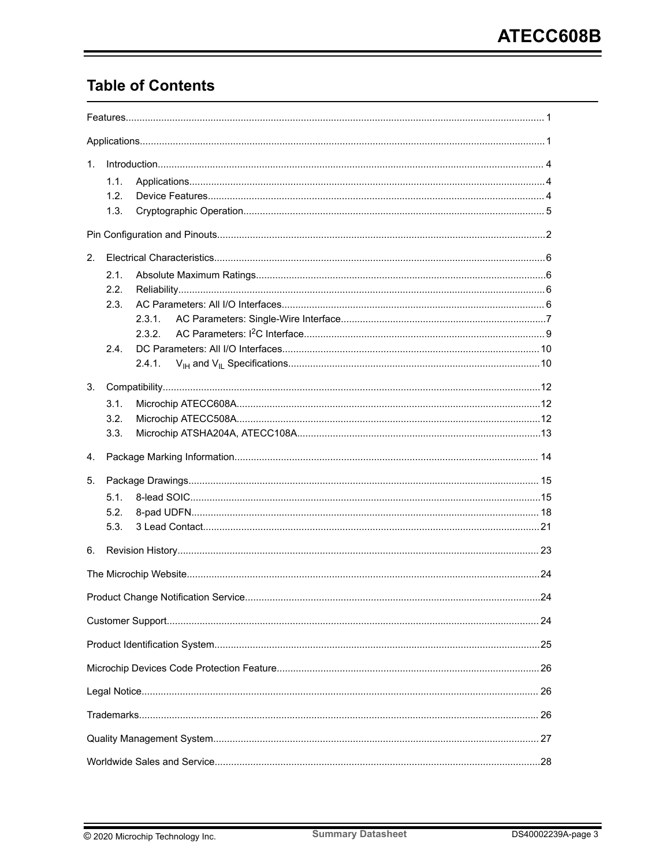## **Table of Contents**

| 1. |      |        |  |
|----|------|--------|--|
|    | 1.1. |        |  |
|    | 1.2. |        |  |
|    | 1.3. |        |  |
|    |      |        |  |
| 2. |      |        |  |
|    | 2.1. |        |  |
|    | 2.2. |        |  |
|    | 2.3. |        |  |
|    |      | 2.3.1. |  |
|    |      | 2.3.2. |  |
|    | 2.4. |        |  |
|    |      | 2.4.1. |  |
| 3. |      |        |  |
|    | 3.1. |        |  |
|    | 3.2. |        |  |
|    | 3.3. |        |  |
| 4. |      |        |  |
| 5. |      |        |  |
|    | 5.1. |        |  |
|    | 5.2. |        |  |
|    | 5.3. |        |  |
| 6. |      |        |  |
|    |      |        |  |
|    |      |        |  |
|    |      |        |  |
|    |      |        |  |
|    |      |        |  |
|    |      |        |  |
|    |      |        |  |
|    |      |        |  |
|    |      |        |  |
|    |      |        |  |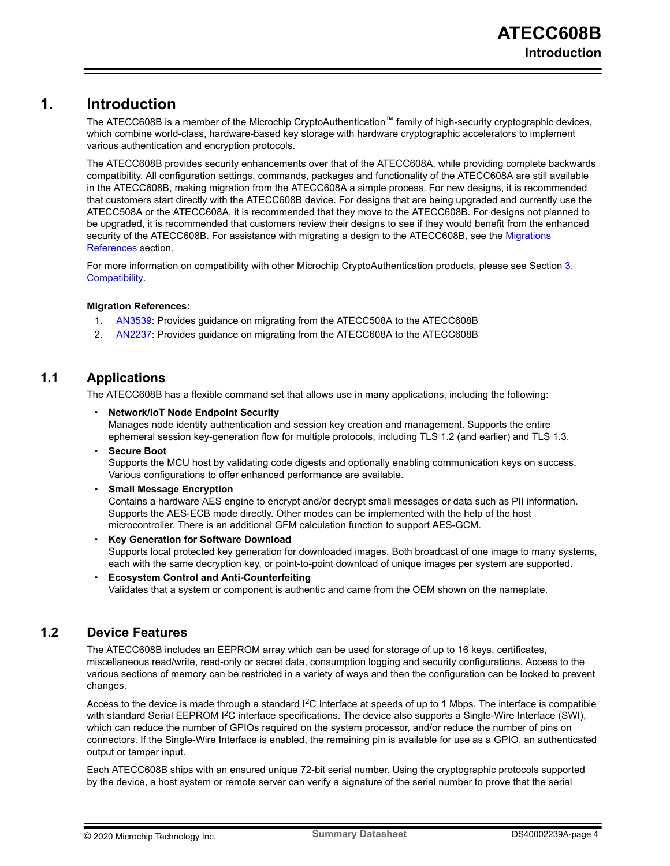## <span id="page-3-0"></span>**1. Introduction**

The ATECC608B is a member of the Microchip CryptoAuthentication™ family of high-security cryptographic devices, which combine world-class, hardware-based key storage with hardware cryptographic accelerators to implement various authentication and encryption protocols.

The ATECC608B provides security enhancements over that of the ATECC608A, while providing complete backwards compatibility. All configuration settings, commands, packages and functionality of the ATECC608A are still available in the ATECC608B, making migration from the ATECC608A a simple process. For new designs, it is recommended that customers start directly with the ATECC608B device. For designs that are being upgraded and currently use the ATECC508A or the ATECC608A, it is recommended that they move to the ATECC608B. For designs not planned to be upgraded, it is recommended that customers review their designs to see if they would benefit from the enhanced security of the ATECC608B. For assistance with migrating a design to the ATECC608B, see the Migrations References section.

For more information on compatibility with other Microchip CryptoAuthentication products, please see Section [3.](#page-11-0)  [Compatibility.](#page-11-0)

#### **Migration References:**

- 1. [AN3539:](https://www.microchip.com/wwwappnotes/appnotes.aspx?appnote=en1002948) Provides guidance on migrating from the ATECC508A to the ATECC608B
- 2. [AN2237:](https://www.microchip.com/wwwappnotes/appnotes.aspx?appnote=en1002947) Provides guidance on migrating from the ATECC608A to the ATECC608B

## **1.1 Applications**

The ATECC608B has a flexible command set that allows use in many applications, including the following:

- **Network/IoT Node Endpoint Security** Manages node identity authentication and session key creation and management. Supports the entire ephemeral session key-generation flow for multiple protocols, including TLS 1.2 (and earlier) and TLS 1.3.
- **Secure Boot** Supports the MCU host by validating code digests and optionally enabling communication keys on success. Various configurations to offer enhanced performance are available.
- **Small Message Encryption**

Contains a hardware AES engine to encrypt and/or decrypt small messages or data such as PII information. Supports the AES-ECB mode directly. Other modes can be implemented with the help of the host microcontroller. There is an additional GFM calculation function to support AES-GCM.

• **Key Generation for Software Download**

Supports local protected key generation for downloaded images. Both broadcast of one image to many systems, each with the same decryption key, or point-to-point download of unique images per system are supported.

#### • **Ecosystem Control and Anti-Counterfeiting**

Validates that a system or component is authentic and came from the OEM shown on the nameplate.

### **1.2 Device Features**

The ATECC608B includes an EEPROM array which can be used for storage of up to 16 keys, certificates, miscellaneous read/write, read-only or secret data, consumption logging and security configurations. Access to the various sections of memory can be restricted in a variety of ways and then the configuration can be locked to prevent changes.

Access to the device is made through a standard  $1<sup>2</sup>C$  Interface at speeds of up to 1 Mbps. The interface is compatible with standard Serial EEPROM  $1^2C$  interface specifications. The device also supports a Single-Wire Interface (SWI), which can reduce the number of GPIOs required on the system processor, and/or reduce the number of pins on connectors. If the Single-Wire Interface is enabled, the remaining pin is available for use as a GPIO, an authenticated output or tamper input.

Each ATECC608B ships with an ensured unique 72-bit serial number. Using the cryptographic protocols supported by the device, a host system or remote server can verify a signature of the serial number to prove that the serial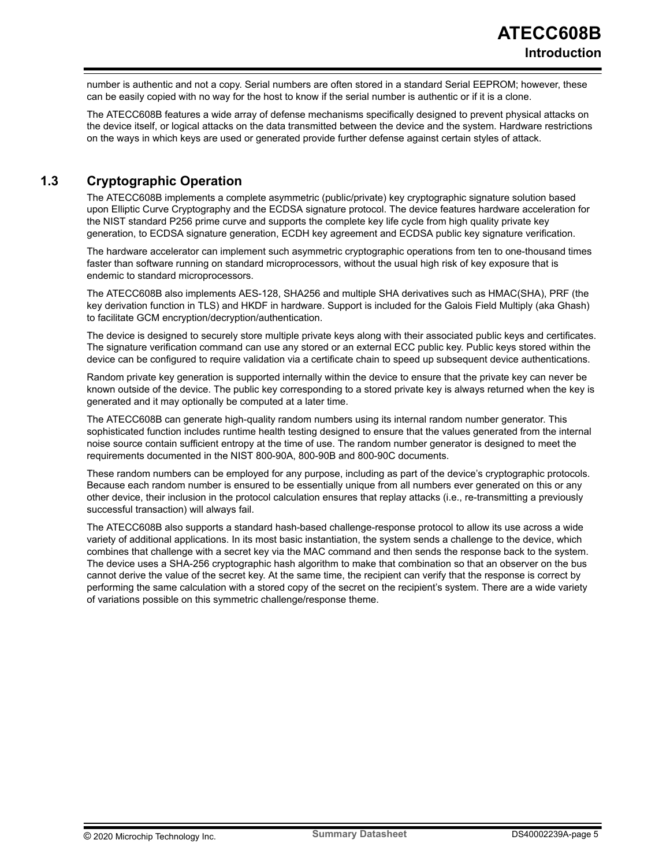<span id="page-4-0"></span>number is authentic and not a copy. Serial numbers are often stored in a standard Serial EEPROM; however, these can be easily copied with no way for the host to know if the serial number is authentic or if it is a clone.

The ATECC608B features a wide array of defense mechanisms specifically designed to prevent physical attacks on the device itself, or logical attacks on the data transmitted between the device and the system. Hardware restrictions on the ways in which keys are used or generated provide further defense against certain styles of attack.

## **1.3 Cryptographic Operation**

The ATECC608B implements a complete asymmetric (public/private) key cryptographic signature solution based upon Elliptic Curve Cryptography and the ECDSA signature protocol. The device features hardware acceleration for the NIST standard P256 prime curve and supports the complete key life cycle from high quality private key generation, to ECDSA signature generation, ECDH key agreement and ECDSA public key signature verification.

The hardware accelerator can implement such asymmetric cryptographic operations from ten to one-thousand times faster than software running on standard microprocessors, without the usual high risk of key exposure that is endemic to standard microprocessors.

The ATECC608B also implements AES-128, SHA256 and multiple SHA derivatives such as HMAC(SHA), PRF (the key derivation function in TLS) and HKDF in hardware. Support is included for the Galois Field Multiply (aka Ghash) to facilitate GCM encryption/decryption/authentication.

The device is designed to securely store multiple private keys along with their associated public keys and certificates. The signature verification command can use any stored or an external ECC public key. Public keys stored within the device can be configured to require validation via a certificate chain to speed up subsequent device authentications.

Random private key generation is supported internally within the device to ensure that the private key can never be known outside of the device. The public key corresponding to a stored private key is always returned when the key is generated and it may optionally be computed at a later time.

The ATECC608B can generate high-quality random numbers using its internal random number generator. This sophisticated function includes runtime health testing designed to ensure that the values generated from the internal noise source contain sufficient entropy at the time of use. The random number generator is designed to meet the requirements documented in the NIST 800-90A, 800-90B and 800-90C documents.

These random numbers can be employed for any purpose, including as part of the device's cryptographic protocols. Because each random number is ensured to be essentially unique from all numbers ever generated on this or any other device, their inclusion in the protocol calculation ensures that replay attacks (i.e., re-transmitting a previously successful transaction) will always fail.

The ATECC608B also supports a standard hash-based challenge-response protocol to allow its use across a wide variety of additional applications. In its most basic instantiation, the system sends a challenge to the device, which combines that challenge with a secret key via the MAC command and then sends the response back to the system. The device uses a SHA-256 cryptographic hash algorithm to make that combination so that an observer on the bus cannot derive the value of the secret key. At the same time, the recipient can verify that the response is correct by performing the same calculation with a stored copy of the secret on the recipient's system. There are a wide variety of variations possible on this symmetric challenge/response theme.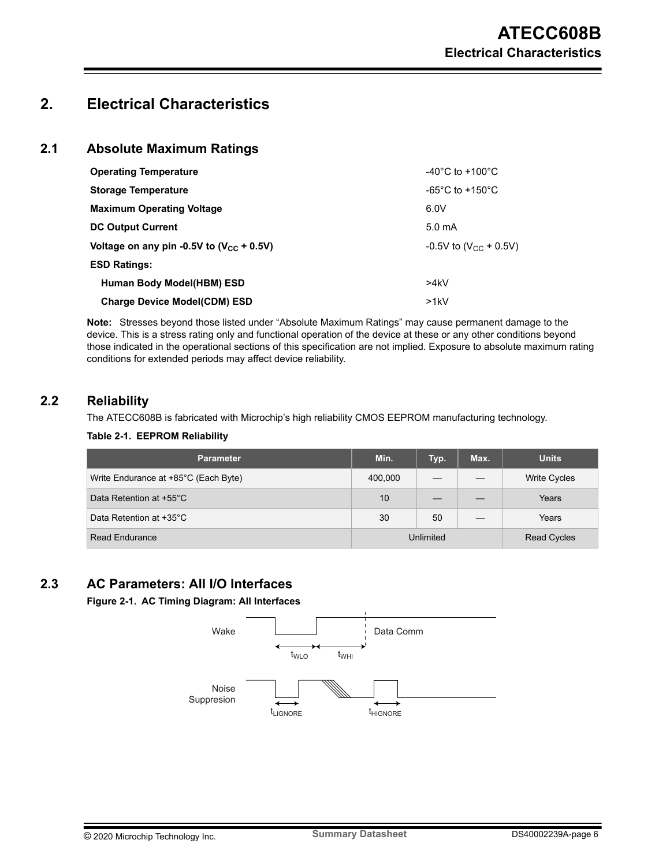## <span id="page-5-0"></span>**2. Electrical Characteristics**

### **2.1 Absolute Maximum Ratings**

| <b>Operating Temperature</b>                  | $-40^{\circ}$ C to $+100^{\circ}$ C   |
|-----------------------------------------------|---------------------------------------|
| <b>Storage Temperature</b>                    | -65 $^{\circ}$ C to +150 $^{\circ}$ C |
| <b>Maximum Operating Voltage</b>              | 6.0V                                  |
| <b>DC Output Current</b>                      | 5.0 <sub>m</sub> A                    |
| Voltage on any pin -0.5V to $(V_{CC} + 0.5V)$ | $-0.5V$ to (V <sub>CC</sub> + 0.5V)   |
| <b>ESD Ratings:</b>                           |                                       |
| Human Body Model(HBM) ESD                     | >4kV                                  |
| <b>Charge Device Model(CDM) ESD</b>           | >1kV                                  |

**Note:**  Stresses beyond those listed under "Absolute Maximum Ratings" may cause permanent damage to the device. This is a stress rating only and functional operation of the device at these or any other conditions beyond those indicated in the operational sections of this specification are not implied. Exposure to absolute maximum rating conditions for extended periods may affect device reliability.

### **2.2 Reliability**

The ATECC608B is fabricated with Microchip's high reliability CMOS EEPROM manufacturing technology.

#### **Table 2-1. EEPROM Reliability**

| <b>Parameter</b>                     | Min.    | Typ.      | Max.               | <b>Units</b>        |
|--------------------------------------|---------|-----------|--------------------|---------------------|
| Write Endurance at +85°C (Each Byte) | 400,000 |           |                    | <b>Write Cycles</b> |
| Data Retention at +55°C              | 10      |           |                    | Years               |
| Data Retention at +35°C              | 30      | 50        |                    | Years               |
| <b>Read Endurance</b>                |         | Unlimited | <b>Read Cycles</b> |                     |

## **2.3 AC Parameters: All I/O Interfaces**

**Figure 2-1. AC Timing Diagram: All Interfaces**

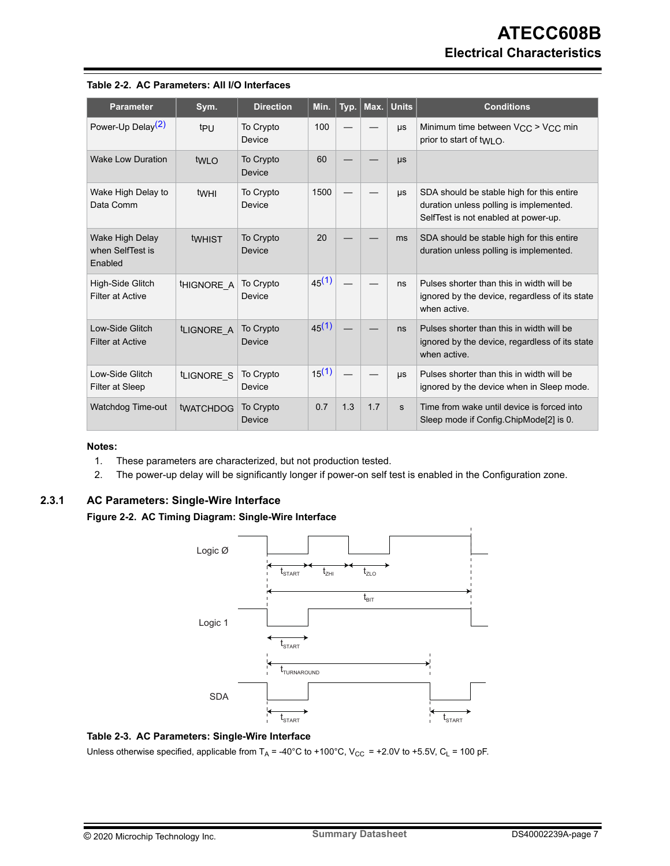| <b>Parameter</b>                               | Sym.                   | <b>Direction</b>    | Min.       | Typ. |     | Max. Units | <b>Conditions</b>                                                                                                            |
|------------------------------------------------|------------------------|---------------------|------------|------|-----|------------|------------------------------------------------------------------------------------------------------------------------------|
| Power-Up Delay <sup>(2)</sup>                  | t <sub>PU</sub>        | To Crypto<br>Device | 100        |      |     | μs         | Minimum time between $V_{CC}$ > $V_{CC}$ min<br>prior to start of twi $\Omega$ .                                             |
| Wake Low Duration                              | tw <sub>LO</sub>       | To Crypto<br>Device | 60         |      |     | μs         |                                                                                                                              |
| Wake High Delay to<br>Data Comm                | twhi                   | To Crypto<br>Device | 1500       |      |     | μs         | SDA should be stable high for this entire<br>duration unless polling is implemented.<br>SelfTest is not enabled at power-up. |
| Wake High Delay<br>when SelfTest is<br>Enabled | twhist                 | To Crypto<br>Device | 20         |      |     | ms         | SDA should be stable high for this entire<br>duration unless polling is implemented.                                         |
| High-Side Glitch<br><b>Filter at Active</b>    | <sup>t</sup> HIGNORE A | To Crypto<br>Device | $45^{(1)}$ |      |     | ns         | Pulses shorter than this in width will be<br>ignored by the device, regardless of its state<br>when active.                  |
| Low-Side Glitch<br><b>Filter at Active</b>     | <sup>t</sup> LIGNORE A | To Crypto<br>Device | 45(1)      |      |     | ns         | Pulses shorter than this in width will be<br>ignored by the device, regardless of its state<br>when active.                  |
| Low-Side Glitch<br><b>Filter at Sleep</b>      | tLIGNORE S             | To Crypto<br>Device | $15^{(1)}$ |      |     | μs         | Pulses shorter than this in width will be<br>ignored by the device when in Sleep mode.                                       |
| <b>Watchdog Time-out</b>                       | <b>tWATCHDOG</b>       | To Crypto<br>Device | 0.7        | 1.3  | 1.7 | s          | Time from wake until device is forced into<br>Sleep mode if Config.ChipMode[2] is 0.                                         |

#### <span id="page-6-0"></span>**Table 2-2. AC Parameters: All I/O Interfaces**

#### **Notes:**

- 1. These parameters are characterized, but not production tested.
- 2. The power-up delay will be significantly longer if power-on self test is enabled in the Configuration zone.

#### **2.3.1 AC Parameters: Single-Wire Interface**

**Figure 2-2. AC Timing Diagram: Single-Wire Interface**



#### **Table 2-3. AC Parameters: Single-Wire Interface**

Unless otherwise specified, applicable from  $T_A = -40^{\circ}$ C to +100°C, V<sub>CC</sub> = +2.0V to +5.5V, C<sub>L</sub> = 100 pF.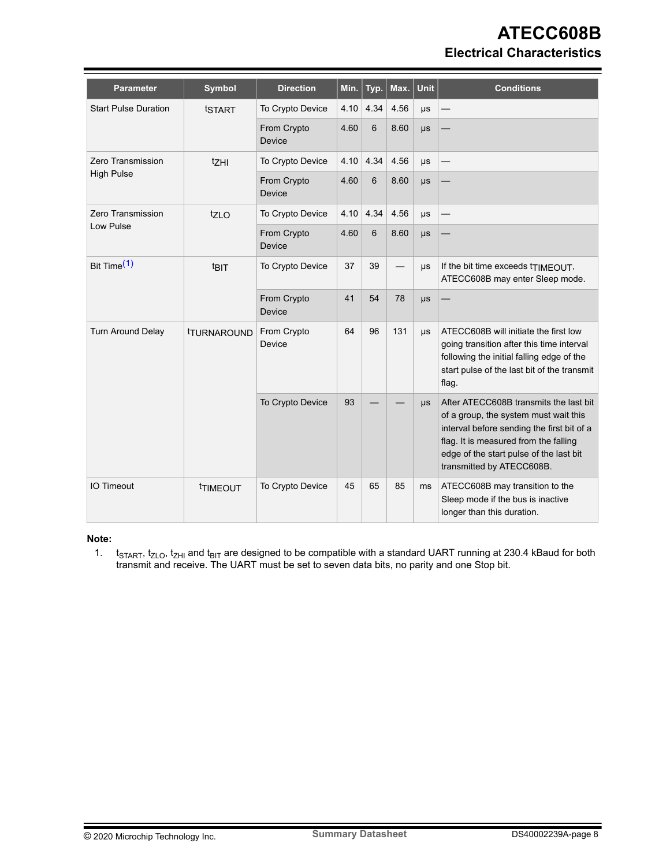## **ATECC608B Electrical Characteristics**

| <b>Parameter</b>            | Symbol                    | <b>Direction</b>             | Min. | Typ. | Max. $ $ | <b>Unit</b> | <b>Conditions</b>                                                                                                                                                                                                                              |
|-----------------------------|---------------------------|------------------------------|------|------|----------|-------------|------------------------------------------------------------------------------------------------------------------------------------------------------------------------------------------------------------------------------------------------|
| <b>Start Pulse Duration</b> | tSTART                    | To Crypto Device             | 4.10 | 4.34 | 4.56     | $\mu s$     |                                                                                                                                                                                                                                                |
|                             |                           | From Crypto<br><b>Device</b> | 4.60 | 6    | 8.60     | $\mu s$     |                                                                                                                                                                                                                                                |
| Zero Transmission           | tzHI                      | To Crypto Device             | 4.10 | 4.34 | 4.56     | μs          |                                                                                                                                                                                                                                                |
| <b>High Pulse</b>           |                           | From Crypto<br>Device        | 4.60 | 6    | 8.60     | μs          |                                                                                                                                                                                                                                                |
| Zero Transmission           | 1710                      | To Crypto Device             | 4.10 | 4.34 | 4.56     | $\mu s$     |                                                                                                                                                                                                                                                |
| Low Pulse                   |                           | From Crypto<br><b>Device</b> | 4.60 | 6    | 8.60     | $\mu s$     |                                                                                                                                                                                                                                                |
| Bit Time <sup>(1)</sup>     | t <sub>BIT</sub>          | To Crypto Device             | 37   | 39   |          | μs          | If the bit time exceeds tTIMEOUT,<br>ATECC608B may enter Sleep mode.                                                                                                                                                                           |
|                             |                           | From Crypto<br>Device        | 41   | 54   | 78       | $\mu s$     |                                                                                                                                                                                                                                                |
| <b>Turn Around Delay</b>    | <b><i>ITURNAROUND</i></b> | From Crypto<br>Device        | 64   | 96   | 131      | $\mu s$     | ATECC608B will initiate the first low<br>going transition after this time interval<br>following the initial falling edge of the<br>start pulse of the last bit of the transmit<br>flag.                                                        |
|                             |                           | To Crypto Device             | 93   |      |          | $\mu s$     | After ATECC608B transmits the last bit<br>of a group, the system must wait this<br>interval before sending the first bit of a<br>flag. It is measured from the falling<br>edge of the start pulse of the last bit<br>transmitted by ATECC608B. |
| <b>IO Timeout</b>           | <b><i>ITIMEOUT</i></b>    | To Crypto Device             | 45   | 65   | 85       | ms          | ATECC608B may transition to the<br>Sleep mode if the bus is inactive<br>longer than this duration.                                                                                                                                             |

**Note:** 

1.  $t_{\footnotesize{\text{5TARTi}}}$  t<sub>ZLO</sub>, t<sub>ZHI</sub> and t<sub>BIT</sub> are designed to be compatible with a standard UART running at 230.4 kBaud for both transmit and receive. The UART must be set to seven data bits, no parity and one Stop bit.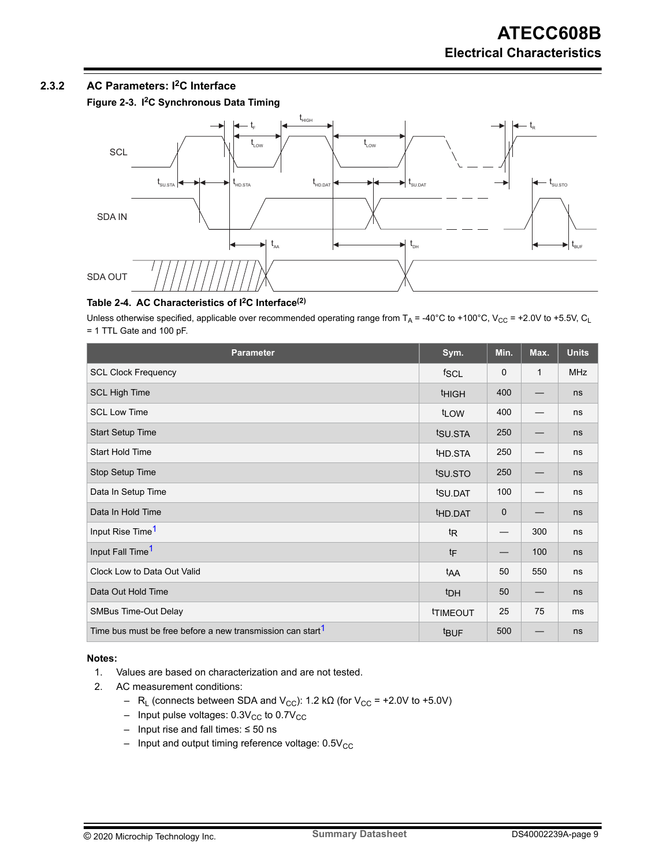### <span id="page-8-0"></span>**2.3.2 AC Parameters: I2C Interface**

**Figure 2-3. I2C Synchronous Data Timing**



### **Table 2-4. AC Characteristics of I2C Interface(2)**

Unless otherwise specified, applicable over recommended operating range from  $T_A$  = -40°C to +100°C, V<sub>CC</sub> = +2.0V to +5.5V, C<sub>L</sub> = 1 TTL Gate and 100 pF.

| <b>Parameter</b>                                                       | Sym.                | Min.        | Max.         | <b>Units</b> |
|------------------------------------------------------------------------|---------------------|-------------|--------------|--------------|
| <b>SCL Clock Frequency</b>                                             | fscl                | $\mathbf 0$ | $\mathbf{1}$ | <b>MHz</b>   |
| <b>SCL High Time</b>                                                   | <b>THIGH</b>        | 400         |              | ns           |
| <b>SCL Low Time</b>                                                    | t <sub>LOW</sub>    | 400         |              | ns           |
| <b>Start Setup Time</b>                                                | tsu.sta             | 250         |              | ns           |
| <b>Start Hold Time</b>                                                 | <sup>t</sup> HD.STA | 250         |              | ns           |
| Stop Setup Time                                                        | tsu.sto             | 250         |              | ns           |
| Data In Setup Time                                                     | tsu.DAT             | 100         |              | ns           |
| Data In Hold Time                                                      | <sup>t</sup> HD.DAT | $\mathbf 0$ |              | ns           |
| Input Rise Time <sup>1</sup>                                           | <sup>t</sup> R      |             | 300          | ns           |
| Input Fall Time <sup>1</sup>                                           | tF                  |             | 100          | ns           |
| Clock Low to Data Out Valid                                            | t <sub>AA</sub>     | 50          | 550          | ns           |
| Data Out Hold Time                                                     | <sup>t</sup> DH     | 50          |              | ns           |
| <b>SMBus Time-Out Delay</b>                                            | <b>TIMEOUT</b>      | 25          | 75           | ms           |
| Time bus must be free before a new transmission can start <sup>1</sup> | <sup>t</sup> BUF    | 500         |              | ns           |

#### **Notes:**

- 1. Values are based on characterization and are not tested.
- 2. AC measurement conditions:
	- R<sub>L</sub> (connects between SDA and V<sub>CC</sub>): 1.2 kΩ (for V<sub>CC</sub> = +2.0V to +5.0V)
	- $-$  Input pulse voltages:  $0.3V_{CC}$  to  $0.7V_{CC}$
	- Input rise and fall times: ≤ 50 ns
	- $-$  Input and output timing reference voltage:  $0.5V_{CC}$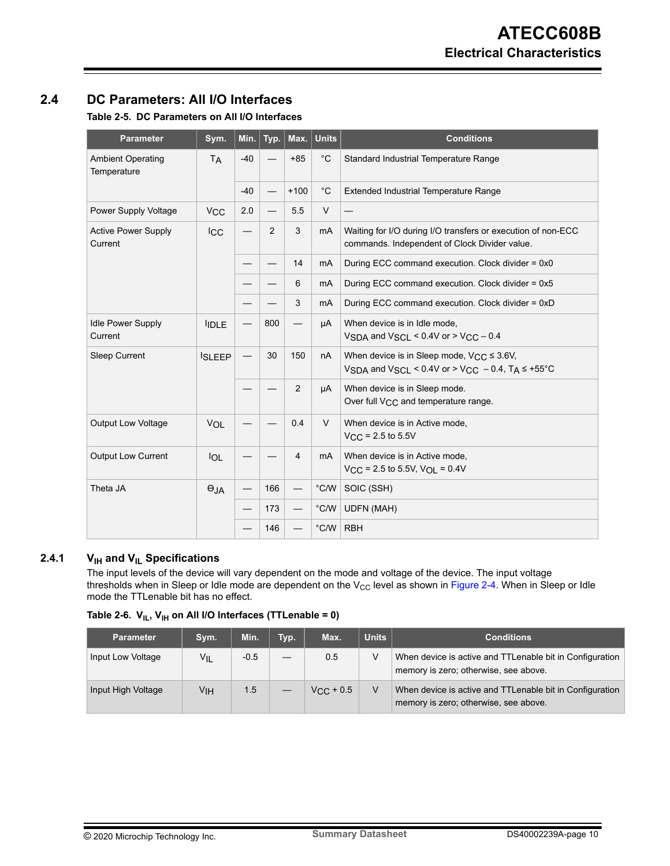## <span id="page-9-0"></span>**2.4 DC Parameters: All I/O Interfaces**

### **Table 2-5. DC Parameters on All I/O Interfaces**

| <b>Parameter</b>                        | Sym.                  | Min.  | Typ. | Max.   | <b>Units</b>   | <b>Conditions</b>                                                                                             |
|-----------------------------------------|-----------------------|-------|------|--------|----------------|---------------------------------------------------------------------------------------------------------------|
| <b>Ambient Operating</b><br>Temperature | <b>TA</b>             | $-40$ |      | $+85$  | $^{\circ}$ C   | Standard Industrial Temperature Range                                                                         |
|                                         |                       | $-40$ |      | $+100$ | $^{\circ}$ C   | <b>Extended Industrial Temperature Range</b>                                                                  |
| Power Supply Voltage                    | <b>V<sub>CC</sub></b> | 2.0   |      | 5.5    | $\vee$         |                                                                                                               |
| <b>Active Power Supply</b><br>Current   | <b>ICC</b>            |       | 2    | 3      | mA             | Waiting for I/O during I/O transfers or execution of non-ECC<br>commands. Independent of Clock Divider value. |
|                                         |                       |       |      | 14     | mA             | During ECC command execution. Clock divider = 0x0                                                             |
|                                         |                       |       |      | 6      | mA             | During ECC command execution. Clock divider = 0x5                                                             |
|                                         |                       |       |      | 3      | mA             | During ECC command execution. Clock divider = 0xD                                                             |
| <b>Idle Power Supply</b><br>Current     | <b>IDLE</b>           |       | 800  |        | μA             | When device is in Idle mode,<br>VSDA and VSCL < $0.4V$ or > VCC - 0.4                                         |
| <b>Sleep Current</b>                    | <b>ISLEEP</b>         |       | 30   | 150    | nA             | When device is in Sleep mode, $VCC \leq 3.6V$ ,<br>VSDA and VSCL < 0.4V or > VCC - 0.4, TA $\leq$ +55°C       |
|                                         |                       |       |      | 2      | μA             | When device is in Sleep mode.<br>Over full V <sub>CC</sub> and temperature range.                             |
| <b>Output Low Voltage</b>               | VOL                   |       |      | 0.4    | $\vee$         | When device is in Active mode,<br>$V_{CC}$ = 2.5 to 5.5V                                                      |
| <b>Output Low Current</b>               | <b>IOL</b>            |       |      | 4      | mA             | When device is in Active mode,<br>$V_{CC}$ = 2.5 to 5.5V, $V_{OL}$ = 0.4V                                     |
| Theta JA                                | $\Theta$ JA           |       | 166  |        | $\degree$ C/W  | SOIC (SSH)                                                                                                    |
|                                         |                       |       | 173  |        | $^{\circ}$ C/W | <b>UDFN (MAH)</b>                                                                                             |
|                                         |                       |       | 146  |        | °C/W           | <b>RBH</b>                                                                                                    |

### **2.4.1 VIH and VIL Specifications**

The input levels of the device will vary dependent on the mode and voltage of the device. The input voltage thresholds when in Sleep or Idle mode are dependent on the V $_{\rm CC}$  level as shown in [Figure 2-4](#page-10-0). When in Sleep or Idle mode the TTLenable bit has no effect.

|  |  |  |  |  | Table 2-6. $V_{IL}$ , $V_{IH}$ on All I/O Interfaces (TTLenable = 0) |  |
|--|--|--|--|--|----------------------------------------------------------------------|--|
|--|--|--|--|--|----------------------------------------------------------------------|--|

| <b>Parameter</b>   | Sym.            | Min.   | Typ. | Max.               | <b>Units</b> | <b>Conditions</b>                                                                                 |
|--------------------|-----------------|--------|------|--------------------|--------------|---------------------------------------------------------------------------------------------------|
| Input Low Voltage  | VIL             | $-0.5$ |      | 0.5                | v            | When device is active and TTLenable bit in Configuration<br>memory is zero; otherwise, see above. |
| Input High Voltage | V <sub>IH</sub> | 1.5    |      | $V_{\rm CC}$ + 0.5 |              | When device is active and TTLenable bit in Configuration<br>memory is zero; otherwise, see above. |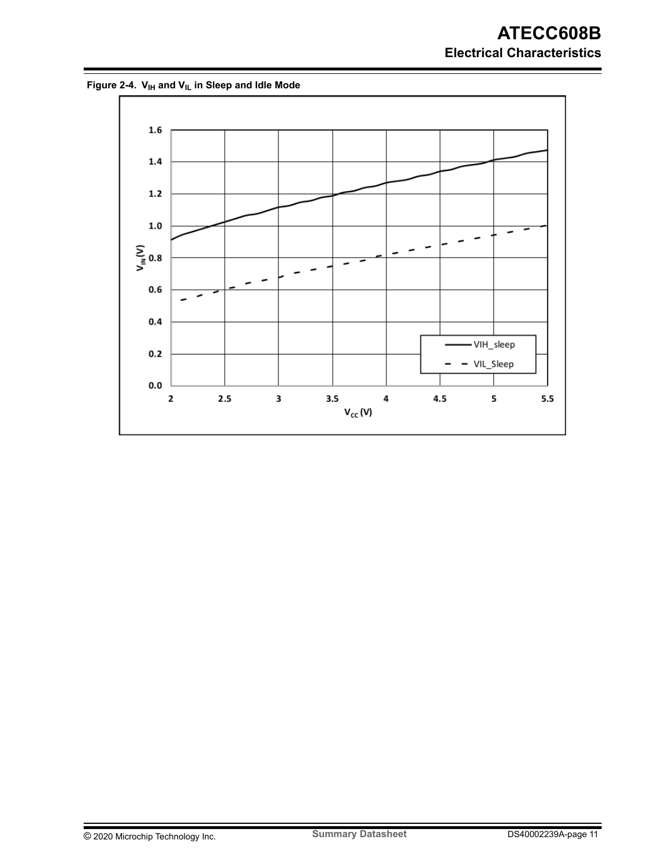<span id="page-10-0"></span>**Figure 2-4. VIH and VIL in Sleep and Idle Mode**

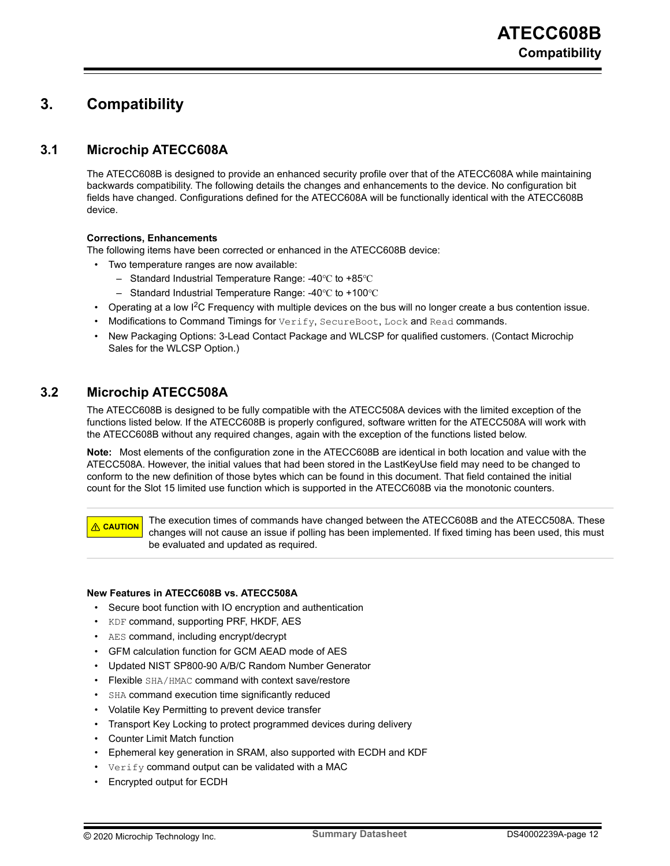## <span id="page-11-0"></span>**3. Compatibility**

## **3.1 Microchip ATECC608A**

The ATECC608B is designed to provide an enhanced security profile over that of the ATECC608A while maintaining backwards compatibility. The following details the changes and enhancements to the device. No configuration bit fields have changed. Configurations defined for the ATECC608A will be functionally identical with the ATECC608B device.

#### **Corrections, Enhancements**

The following items have been corrected or enhanced in the ATECC608B device:

- Two temperature ranges are now available:
	- Standard Industrial Temperature Range: -40℃ to +85℃
	- Standard Industrial Temperature Range: -40℃ to +100℃
- Operating at a low I2C Frequency with multiple devices on the bus will no longer create a bus contention issue.
- Modifications to Command Timings for Verify, SecureBoot, Lock and Read commands.
- New Packaging Options: 3-Lead Contact Package and WLCSP for qualified customers. (Contact Microchip Sales for the WLCSP Option.)

## **3.2 Microchip ATECC508A**

The ATECC608B is designed to be fully compatible with the ATECC508A devices with the limited exception of the functions listed below. If the ATECC608B is properly configured, software written for the ATECC508A will work with the ATECC608B without any required changes, again with the exception of the functions listed below.

**Note:**  Most elements of the configuration zone in the ATECC608B are identical in both location and value with the ATECC508A. However, the initial values that had been stored in the LastKeyUse field may need to be changed to conform to the new definition of those bytes which can be found in this document. That field contained the initial count for the Slot 15 limited use function which is supported in the ATECC608B via the monotonic counters.

**CAUTION** The execution times of commands have changed between the ATECC608B and the ATECC508A. These changes will not cause an issue if polling has been implemented. If fixed timing has been used, this must be evaluated and updated as required.

#### **New Features in ATECC608B vs. ATECC508A**

- Secure boot function with IO encryption and authentication
- KDF command, supporting PRF, HKDF, AES
- AES command, including encrypt/decrypt
- GFM calculation function for GCM AEAD mode of AES
- Updated NIST SP800-90 A/B/C Random Number Generator
- Flexible SHA/HMAC command with context save/restore
- SHA command execution time significantly reduced
- Volatile Key Permitting to prevent device transfer
- Transport Key Locking to protect programmed devices during delivery
- Counter Limit Match function
- Ephemeral key generation in SRAM, also supported with ECDH and KDF
- $Verify$  command output can be validated with a MAC
- Encrypted output for ECDH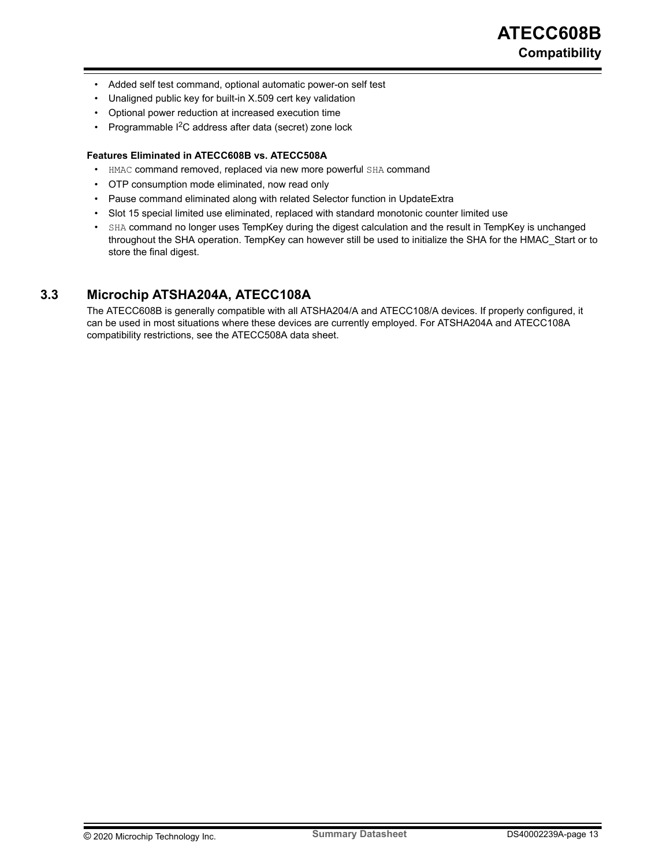- <span id="page-12-0"></span>• Added self test command, optional automatic power-on self test
- Unaligned public key for built-in X.509 cert key validation
- Optional power reduction at increased execution time
- Programmable I2C address after data (secret) zone lock

#### **Features Eliminated in ATECC608B vs. ATECC508A**

- HMAC command removed, replaced via new more powerful SHA command
- OTP consumption mode eliminated, now read only
- Pause command eliminated along with related Selector function in UpdateExtra
- Slot 15 special limited use eliminated, replaced with standard monotonic counter limited use
- SHA command no longer uses TempKey during the digest calculation and the result in TempKey is unchanged throughout the SHA operation. TempKey can however still be used to initialize the SHA for the HMAC\_Start or to store the final digest.

### **3.3 Microchip ATSHA204A, ATECC108A**

The ATECC608B is generally compatible with all ATSHA204/A and ATECC108/A devices. If properly configured, it can be used in most situations where these devices are currently employed. For ATSHA204A and ATECC108A compatibility restrictions, see the ATECC508A data sheet.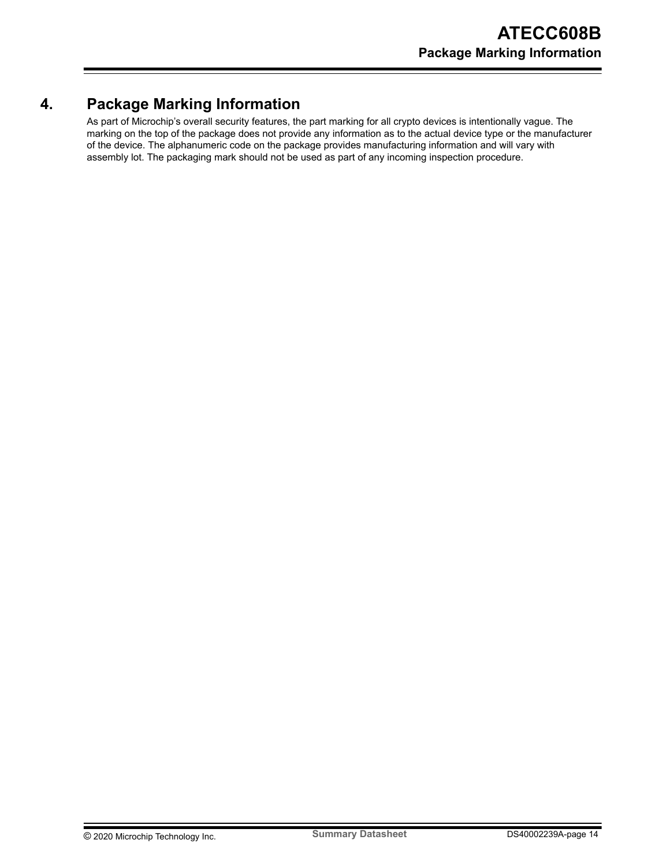## <span id="page-13-0"></span>**4. Package Marking Information**

As part of Microchip's overall security features, the part marking for all crypto devices is intentionally vague. The marking on the top of the package does not provide any information as to the actual device type or the manufacturer of the device. The alphanumeric code on the package provides manufacturing information and will vary with assembly lot. The packaging mark should not be used as part of any incoming inspection procedure.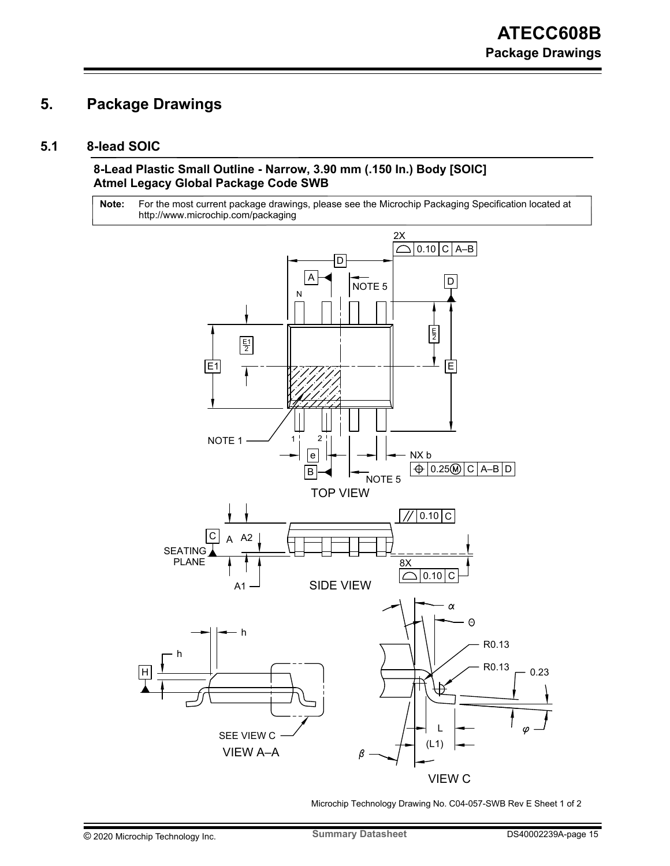## <span id="page-14-0"></span>**5. Package Drawings**

### **5.1 8-lead SOIC**

### **8-Lead Plastic Small Outline - Narrow, 3.90 mm (.150 In.) Body [SOIC] Atmel Legacy Global Package Code SWB**

For the most current package drawings, please see the Microchip Packaging Specification located at http://www.microchip.com/packaging **Note:**



Microchip Technology Drawing No. C04-057-SWB Rev E Sheet 1 of 2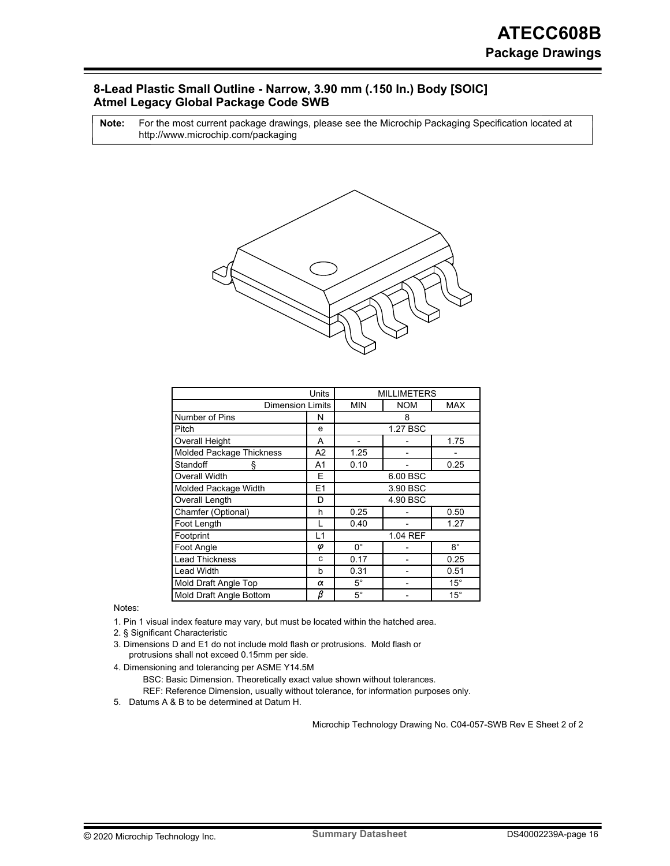### **8-Lead Plastic Small Outline - Narrow, 3.90 mm (.150 In.) Body [SOIC] Atmel Legacy Global Package Code SWB**

For the most current package drawings, please see the Microchip Packaging Specification located at http://www.microchip.com/packaging **Note:**



|                          | <b>MILLIMETERS</b> |             |          |              |  |
|--------------------------|--------------------|-------------|----------|--------------|--|
| <b>Dimension Limits</b>  | <b>MIN</b>         | <b>NOM</b>  | MAX      |              |  |
| Number of Pins           | N                  |             | 8        |              |  |
| Pitch                    | e                  |             | 1.27 BSC |              |  |
| Overall Height           | A                  |             |          | 1.75         |  |
| Molded Package Thickness | А2                 | 1.25        |          |              |  |
| Standoff<br>ş            | A1                 | 0.10        |          | 0.25         |  |
| Overall Width            | E                  | 6.00 BSC    |          |              |  |
| Molded Package Width     | E1                 | 3.90 BSC    |          |              |  |
| Overall Length           | D                  | 4.90 BSC    |          |              |  |
| Chamfer (Optional)       | h                  | 0.25        |          | 0.50         |  |
| Foot Length              |                    | 0.40        |          | 1.27         |  |
| Footprint                | L1                 | 1.04 REF    |          |              |  |
| Foot Angle               | φ                  | $0^{\circ}$ |          | $8^{\circ}$  |  |
| <b>Lead Thickness</b>    | c                  | 0.17        |          | 0.25         |  |
| Lead Width               | b                  | 0.31        |          | 0.51         |  |
| Mold Draft Angle Top     | α                  | $5^\circ$   |          | $15^{\circ}$ |  |
| Mold Draft Angle Bottom  | $\bar{\beta}$      | $5^\circ$   |          | $15^{\circ}$ |  |

Notes:

1. Pin 1 visual index feature may vary, but must be located within the hatched area.

2. § Significant Characteristic

- protrusions shall not exceed 0.15mm per side. 3. Dimensions D and E1 do not include mold flash or protrusions. Mold flash or
- 4. Dimensioning and tolerancing per ASME Y14.5M

BSC: Basic Dimension. Theoretically exact value shown without tolerances.

REF: Reference Dimension, usually without tolerance, for information purposes only.

5. Datums A & B to be determined at Datum H.

Microchip Technology Drawing No. C04-057-SWB Rev E Sheet 2 of 2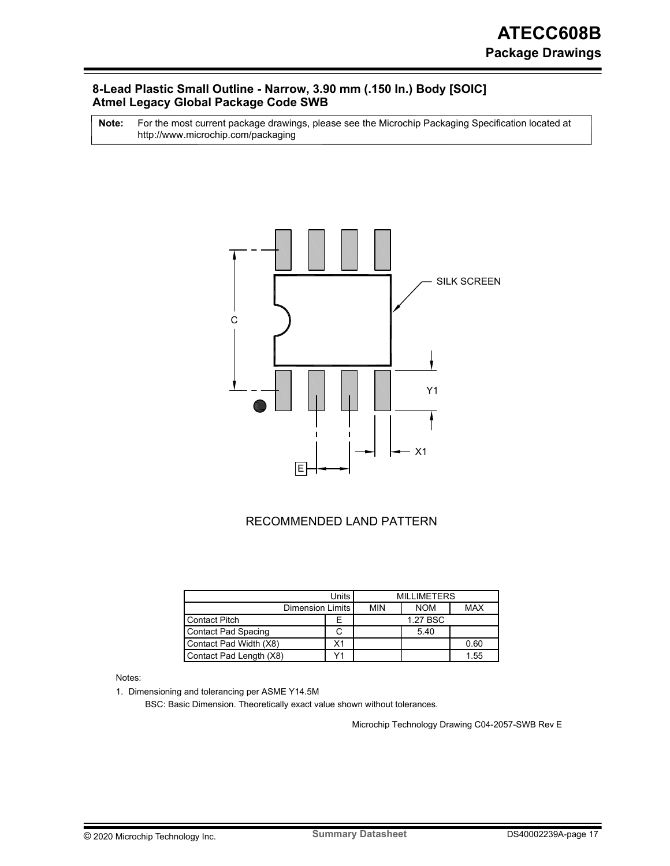### **8-Lead Plastic Small Outline - Narrow, 3.90 mm (.150 In.) Body [SOIC] Atmel Legacy Global Package Code SWB**

For the most current package drawings, please see the Microchip Packaging Specification located at http://www.microchip.com/packaging **Note:**



### RECOMMENDED LAND PATTERN

|                         | <b>MILLIMETERS</b><br>Units l |            |            |      |
|-------------------------|-------------------------------|------------|------------|------|
| Dimension Limits I      | <b>MIN</b>                    | <b>NOM</b> | <b>MAX</b> |      |
| Contact Pitch           |                               |            | 1.27 BSC   |      |
| Contact Pad Spacing     |                               |            | 5.40       |      |
| Contact Pad Width (X8)  | Х1                            |            |            | 0.60 |
| Contact Pad Length (X8) |                               |            |            | 1.55 |

Notes:

1. Dimensioning and tolerancing per ASME Y14.5M

BSC: Basic Dimension. Theoretically exact value shown without tolerances.

Microchip Technology Drawing C04-2057-SWB Rev E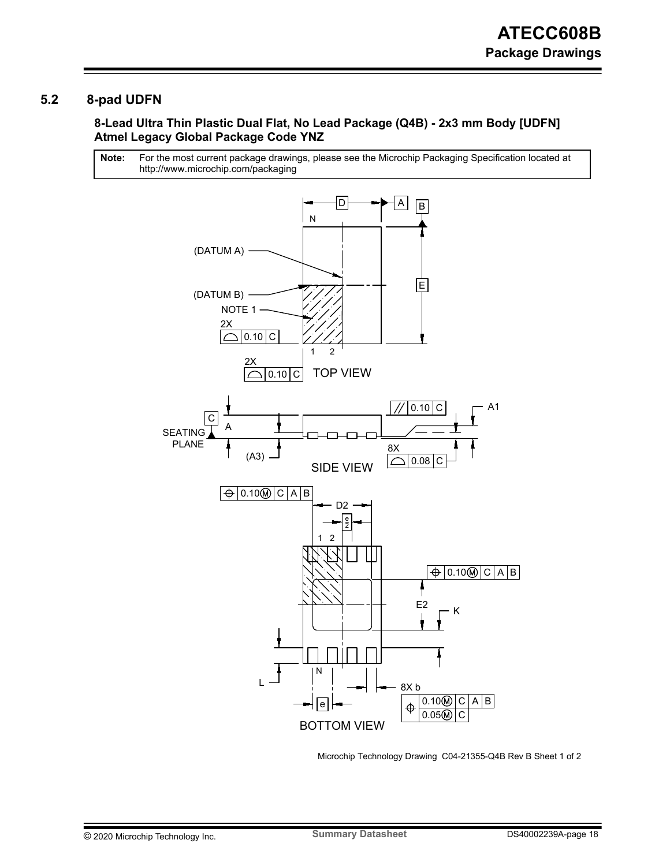### <span id="page-17-0"></span>**5.2 8-pad UDFN**

### **8-Lead Ultra Thin Plastic Dual Flat, No Lead Package (Q4B) - 2x3 mm Body [UDFN] Atmel Legacy Global Package Code YNZ**

For the most current package drawings, please see the Microchip Packaging Specification located at http://www.microchip.com/packaging **Note:**



Microchip Technology Drawing C04-21355-Q4B Rev B Sheet 1 of 2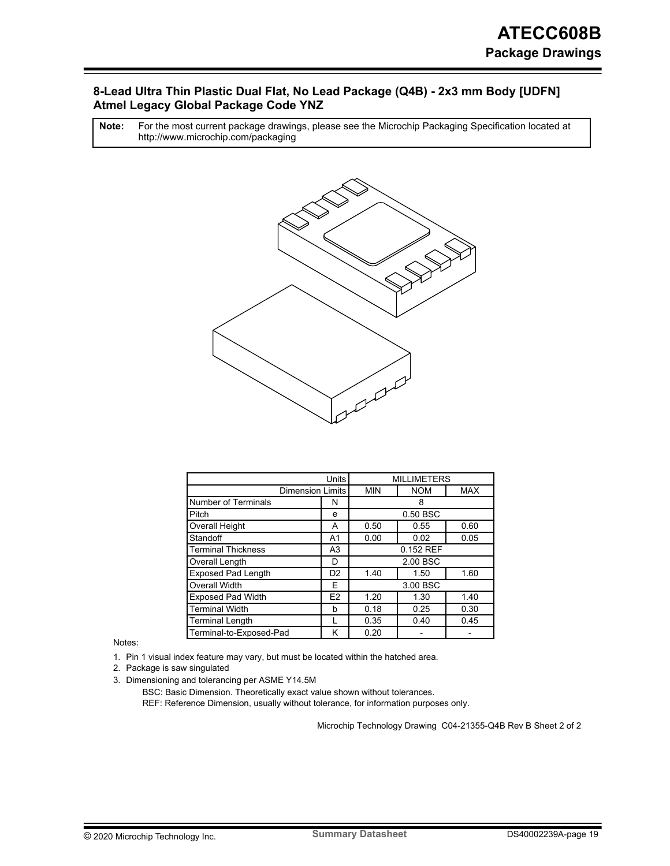### **8-Lead Ultra Thin Plastic Dual Flat, No Lead Package (Q4B) - 2x3 mm Body [UDFN] Atmel Legacy Global Package Code YNZ**

For the most current package drawings, please see the Microchip Packaging Specification located at http://www.microchip.com/packaging **Note:**



| Units                      |                         | <b>MILLIMETERS</b>   |            |            |
|----------------------------|-------------------------|----------------------|------------|------------|
|                            | <b>Dimension Limits</b> | <b>MIN</b>           | <b>NOM</b> | <b>MAX</b> |
| <b>Number of Terminals</b> | N                       |                      | 8          |            |
| Pitch                      | e                       |                      | 0.50 BSC   |            |
| Overall Height             | А                       | 0.50                 | 0.55       | 0.60       |
| Standoff                   | A <sub>1</sub>          | 0.00                 | 0.02       | 0.05       |
| <b>Terminal Thickness</b>  | A <sub>3</sub>          | 0.152 REF            |            |            |
| Overall Length             | D                       | 2.00 BSC             |            |            |
| <b>Exposed Pad Length</b>  | D <sub>2</sub>          | 1.40<br>1.60<br>1.50 |            |            |
| Overall Width              | F                       | 3.00 BSC             |            |            |
| <b>Exposed Pad Width</b>   | E <sub>2</sub>          | 1.20                 | 1.30       | 1.40       |
| <b>Terminal Width</b>      |                         | 0.18                 | 0.25       | 0.30       |
| <b>Terminal Length</b>     |                         | 0.35                 | 0.40       | 0.45       |
| Terminal-to-Exposed-Pad    | κ                       | 0.20                 |            |            |

Notes:

1. Pin 1 visual index feature may vary, but must be located within the hatched area.

2. Package is saw singulated

3. Dimensioning and tolerancing per ASME Y14.5M

BSC: Basic Dimension. Theoretically exact value shown without tolerances.

REF: Reference Dimension, usually without tolerance, for information purposes only.

Microchip Technology Drawing C04-21355-Q4B Rev B Sheet 2 of 2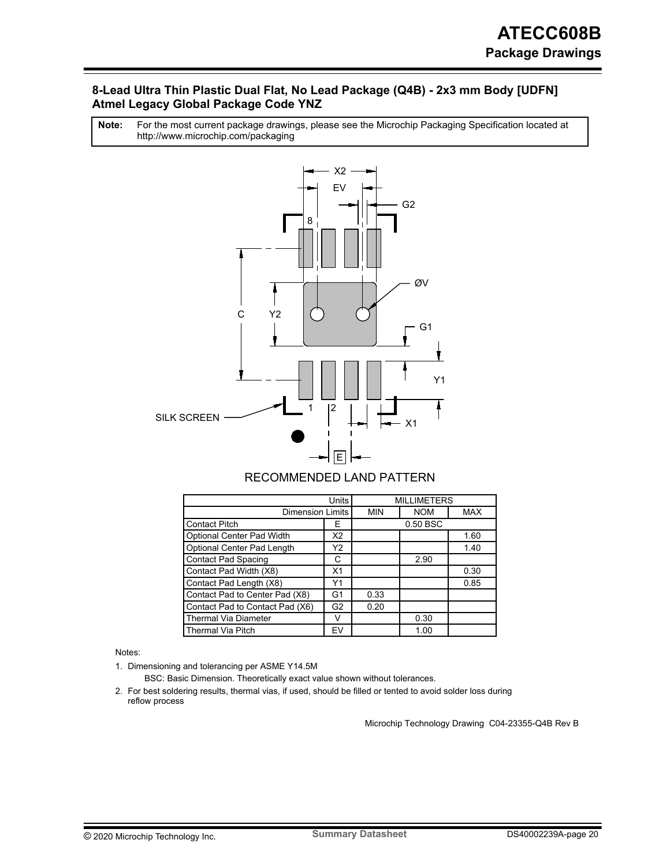### **8-Lead Ultra Thin Plastic Dual Flat, No Lead Package (Q4B) - 2x3 mm Body [UDFN] Atmel Legacy Global Package Code YNZ**

For the most current package drawings, please see the Microchip Packaging Specification located at http://www.microchip.com/packaging **Note:**



## RECOMMENDED LAND PATTERN

|                                          | <b>MILLIMETERS</b> |            |            |            |
|------------------------------------------|--------------------|------------|------------|------------|
| Dimension Limits                         |                    | <b>MIN</b> | <b>NOM</b> | <b>MAX</b> |
| <b>Contact Pitch</b>                     | E                  | 0.50 BSC   |            |            |
| Optional Center Pad Width                | X2                 |            |            | 1.60       |
| Optional Center Pad Length               | Υ2                 |            |            | 1.40       |
| <b>Contact Pad Spacing</b><br>С          |                    |            | 2.90       |            |
| Contact Pad Width (X8)<br>X <sub>1</sub> |                    |            |            | 0.30       |
| Contact Pad Length (X8)<br>Υ1            |                    |            |            | 0.85       |
| Contact Pad to Center Pad (X8)<br>G1     |                    | 0.33       |            |            |
| Contact Pad to Contact Pad (X6)<br>G2    |                    | 0.20       |            |            |
| <b>Thermal Via Diameter</b><br>v         |                    |            | 0.30       |            |
| Thermal Via Pitch<br>EV                  |                    |            | 1.00       |            |

Notes:

1. Dimensioning and tolerancing per ASME Y14.5M

BSC: Basic Dimension. Theoretically exact value shown without tolerances.

2. For best soldering results, thermal vias, if used, should be filled or tented to avoid solder loss during reflow process

Microchip Technology Drawing C04-23355-Q4B Rev B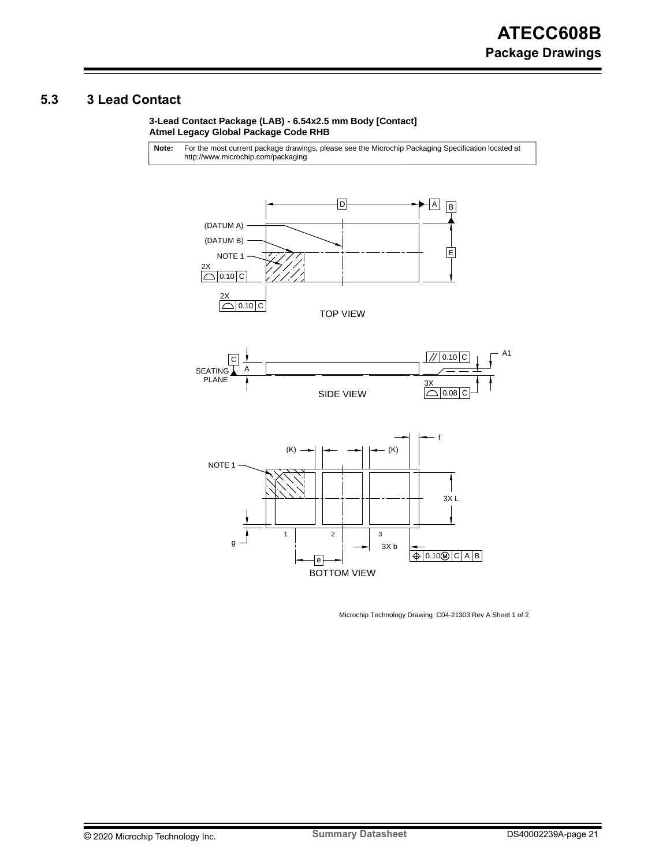## <span id="page-20-0"></span>**5.3 3 Lead Contact**

**3-Lead Contact Package (LAB) - 6.54x2.5 mm Body [Contact] Atmel Legacy Global Package Code RHB**

For the most current package drawings, please see the Microchip Packaging Specification located at http://www.microchip.com/packaging **Note:**







Microchip Technology Drawing C04-21303 Rev A Sheet 1 of 2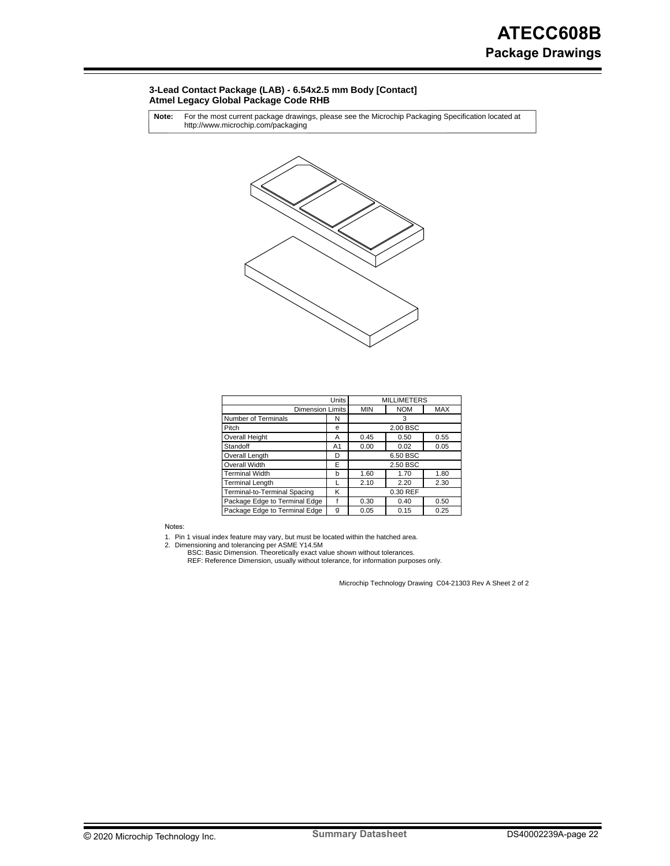#### **3-Lead Contact Package (LAB) - 6.54x2.5 mm Body [Contact] Atmel Legacy Global Package Code RHB**

For the most current package drawings, please see the Microchip Packaging Specification located at http://www.microchip.com/packaging **Note:**



|                               | <b>MILLIMETERS</b> |            |            |            |
|-------------------------------|--------------------|------------|------------|------------|
| <b>Dimension Limits</b>       |                    | <b>MIN</b> | <b>NOM</b> | <b>MAX</b> |
| Number of Terminals           | N                  | 3          |            |            |
| Pitch                         | е                  | 2.00 BSC   |            |            |
| <b>Overall Height</b>         | Α                  | 0.45       | 0.50       | 0.55       |
| Standoff                      | A1                 | 0.00       | 0.02       | 0.05       |
| Overall Length                | D                  | 6.50 BSC   |            |            |
| Overall Width                 | E                  | 2.50 BSC   |            |            |
| Terminal Width                | b                  | 1.60       | 1.70       | 1.80       |
| Terminal Length               |                    | 2.10       | 2.20       | 2.30       |
| Terminal-to-Terminal Spacing  | Κ                  | 0.30 REF   |            |            |
| Package Edge to Terminal Edge |                    | 0.30       | 0.40       | 0.50       |
| Package Edge to Terminal Edge | g                  | 0.05       | 0.15       | 0.25       |

Notes:

1. 2. Pin 1 visual index feature may vary, but must be located within the hatched area. Dimensioning and tolerancing per ASME Y14.5M

BSC: Basic Dimension. Theoretically exact value shown without tolerances.<br>REF: Reference Dimension, usually without tolerance, for information purposes only.

Microchip Technology Drawing C04-21303 Rev A Sheet 2 of 2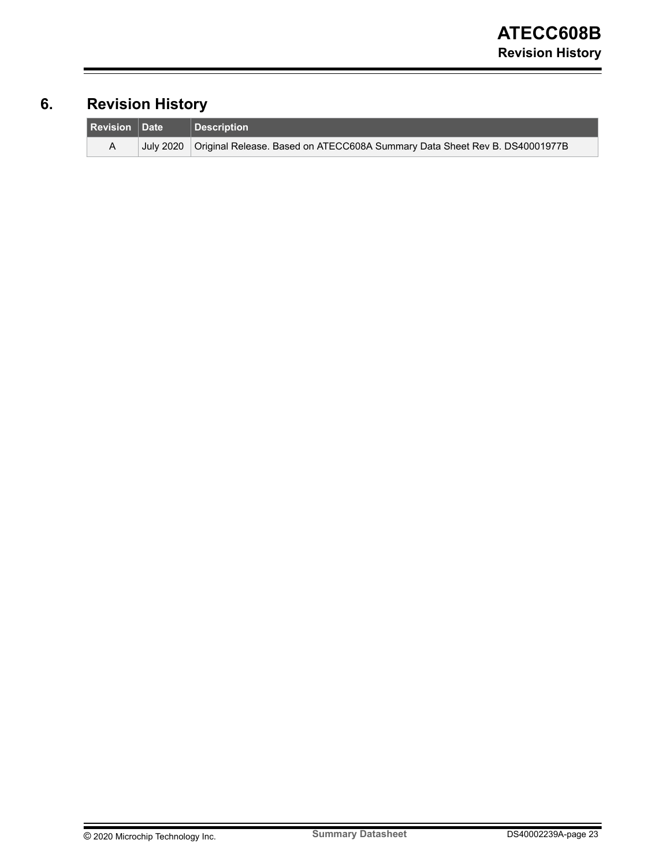## <span id="page-22-0"></span>**6. Revision History**

| <b>Revision Date</b> | Description                                                                            |
|----------------------|----------------------------------------------------------------------------------------|
|                      | July 2020   Original Release. Based on ATECC608A Summary Data Sheet Rev B. DS40001977B |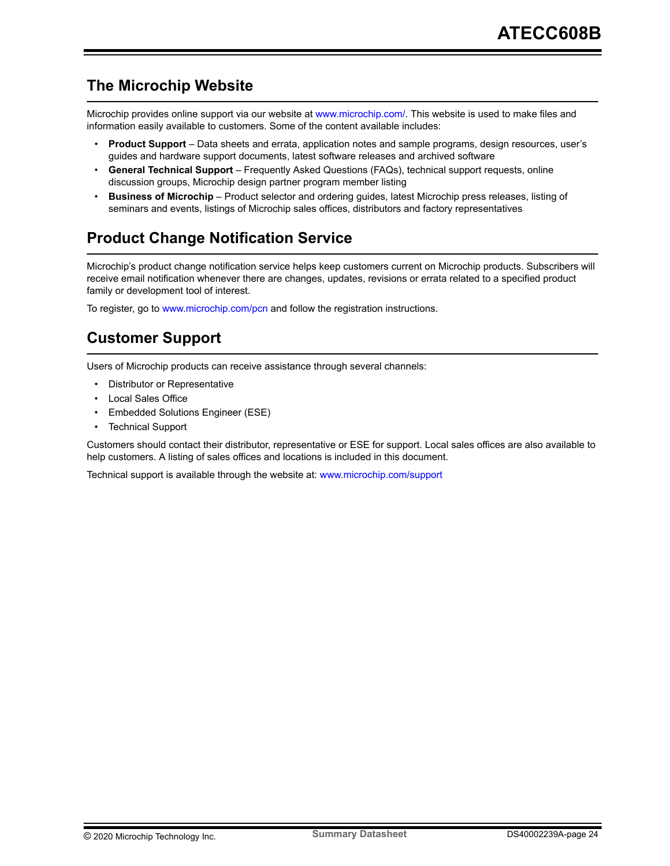## <span id="page-23-0"></span>**The Microchip Website**

Microchip provides online support via our website at [www.microchip.com/](http://www.microchip.com/). This website is used to make files and information easily available to customers. Some of the content available includes:

- **Product Support** Data sheets and errata, application notes and sample programs, design resources, user's guides and hardware support documents, latest software releases and archived software
- **General Technical Support** Frequently Asked Questions (FAQs), technical support requests, online discussion groups, Microchip design partner program member listing
- **Business of Microchip** Product selector and ordering guides, latest Microchip press releases, listing of seminars and events, listings of Microchip sales offices, distributors and factory representatives

## **Product Change Notification Service**

Microchip's product change notification service helps keep customers current on Microchip products. Subscribers will receive email notification whenever there are changes, updates, revisions or errata related to a specified product family or development tool of interest.

To register, go to [www.microchip.com/pcn](http://www.microchip.com/pcn) and follow the registration instructions.

## **Customer Support**

Users of Microchip products can receive assistance through several channels:

- Distributor or Representative
- Local Sales Office
- Embedded Solutions Engineer (ESE)
- **Technical Support**

Customers should contact their distributor, representative or ESE for support. Local sales offices are also available to help customers. A listing of sales offices and locations is included in this document.

Technical support is available through the website at: [www.microchip.com/support](http://www.microchip.com/support)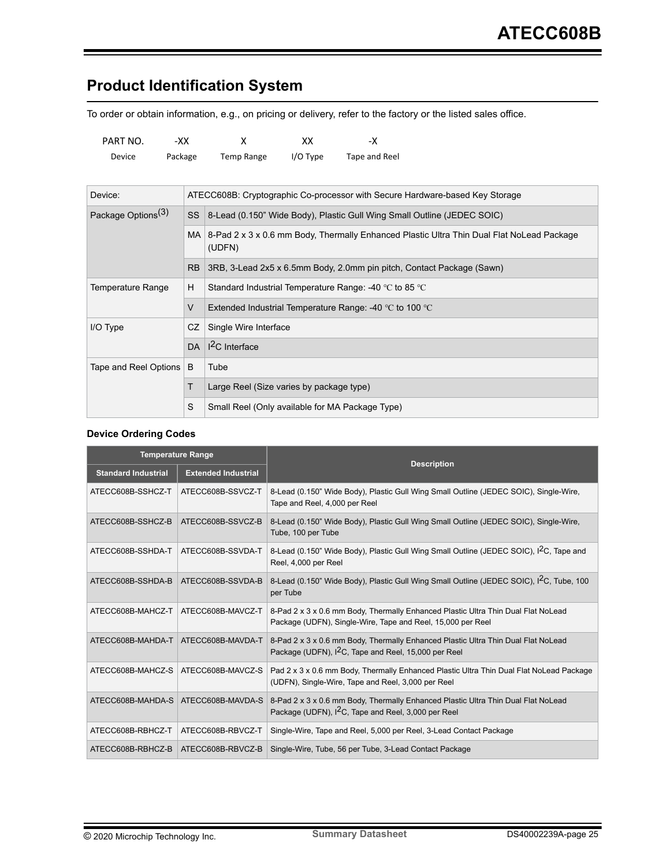## <span id="page-24-0"></span>**Product Identification System**

To order or obtain information, e.g., on pricing or delivery, refer to the factory or the listed sales office.

| PART NO. | -XX -   |            | xх         | -X            |
|----------|---------|------------|------------|---------------|
| Device   | Package | Temp Range | $I/O$ Type | Tape and Reel |

| Device:                        |                                                                                                          | ATECC608B: Cryptographic Co-processor with Secure Hardware-based Key Storage |  |  |
|--------------------------------|----------------------------------------------------------------------------------------------------------|------------------------------------------------------------------------------|--|--|
| Package Options <sup>(3)</sup> |                                                                                                          | SS   8-Lead (0.150" Wide Body), Plastic Gull Wing Small Outline (JEDEC SOIC) |  |  |
|                                | MA   8-Pad 2 x 3 x 0.6 mm Body, Thermally Enhanced Plastic Ultra Thin Dual Flat NoLead Package<br>(UDFN) |                                                                              |  |  |
|                                |                                                                                                          | RB 3RB, 3-Lead 2x5 x 6.5mm Body, 2.0mm pin pitch, Contact Package (Sawn)     |  |  |
| Temperature Range              | н                                                                                                        | Standard Industrial Temperature Range: -40 °C to 85 °C                       |  |  |
|                                | V                                                                                                        | Extended Industrial Temperature Range: -40 $\degree$ C to 100 $\degree$ C    |  |  |
| I/O Type                       | CZ.                                                                                                      | Single Wire Interface                                                        |  |  |
|                                |                                                                                                          | DA $ I^2C$ Interface                                                         |  |  |
| Tape and Reel Options          | B                                                                                                        | Tube                                                                         |  |  |
|                                |                                                                                                          | Large Reel (Size varies by package type)                                     |  |  |
|                                | S                                                                                                        | Small Reel (Only available for MA Package Type)                              |  |  |

#### **Device Ordering Codes**

|                            | <b>Temperature Range</b>              | <b>Description</b>                                                                                                                                    |
|----------------------------|---------------------------------------|-------------------------------------------------------------------------------------------------------------------------------------------------------|
| <b>Standard Industrial</b> | <b>Extended Industrial</b>            |                                                                                                                                                       |
| ATECC608B-SSHCZ-T          | ATECC608B-SSVCZ-T                     | 8-Lead (0.150" Wide Body), Plastic Gull Wing Small Outline (JEDEC SOIC), Single-Wire,<br>Tape and Reel, 4,000 per Reel                                |
| ATECC608B-SSHCZ-B          | ATECC608B-SSVCZ-B                     | 8-Lead (0.150" Wide Body), Plastic Gull Wing Small Outline (JEDEC SOIC), Single-Wire,<br>Tube, 100 per Tube                                           |
| ATECC608B-SSHDA-T          | ATECC608B-SSVDA-T                     | 8-Lead (0.150" Wide Body), Plastic Gull Wing Small Outline (JEDEC SOIC), I <sup>2</sup> C, Tape and<br>Reel, 4,000 per Reel                           |
| ATECC608B-SSHDA-B          | ATECC608B-SSVDA-B                     | 8-Lead (0.150" Wide Body), Plastic Gull Wing Small Outline (JEDEC SOIC), I <sup>2</sup> C, Tube, 100<br>per Tube                                      |
| ATECC608B-MAHCZ-T          | ATECC608B-MAVCZ-T                     | 8-Pad 2 x 3 x 0.6 mm Body, Thermally Enhanced Plastic Ultra Thin Dual Flat NoLead<br>Package (UDFN), Single-Wire, Tape and Reel, 15,000 per Reel      |
| ATECC608B-MAHDA-T          | ATECC608B-MAVDA-T                     | 8-Pad 2 x 3 x 0.6 mm Body, Thermally Enhanced Plastic Ultra Thin Dual Flat NoLead<br>Package (UDFN), I <sup>2</sup> C, Tape and Reel, 15,000 per Reel |
| ATECC608B-MAHCZ-S          | ATECC608B-MAVCZ-S                     | Pad 2 x 3 x 0.6 mm Body, Thermally Enhanced Plastic Ultra Thin Dual Flat NoLead Package<br>(UDFN), Single-Wire, Tape and Reel, 3,000 per Reel         |
|                            | ATECC608B-MAHDA-S   ATECC608B-MAVDA-S | 8-Pad 2 x 3 x 0.6 mm Body, Thermally Enhanced Plastic Ultra Thin Dual Flat NoLead<br>Package (UDFN), I <sup>2</sup> C, Tape and Reel, 3,000 per Reel  |
| ATECC608B-RBHCZ-T          | ATECC608B-RBVCZ-T                     | Single-Wire, Tape and Reel, 5,000 per Reel, 3-Lead Contact Package                                                                                    |
| ATECC608B-RBHCZ-B          | ATECC608B-RBVCZ-B                     | Single-Wire, Tube, 56 per Tube, 3-Lead Contact Package                                                                                                |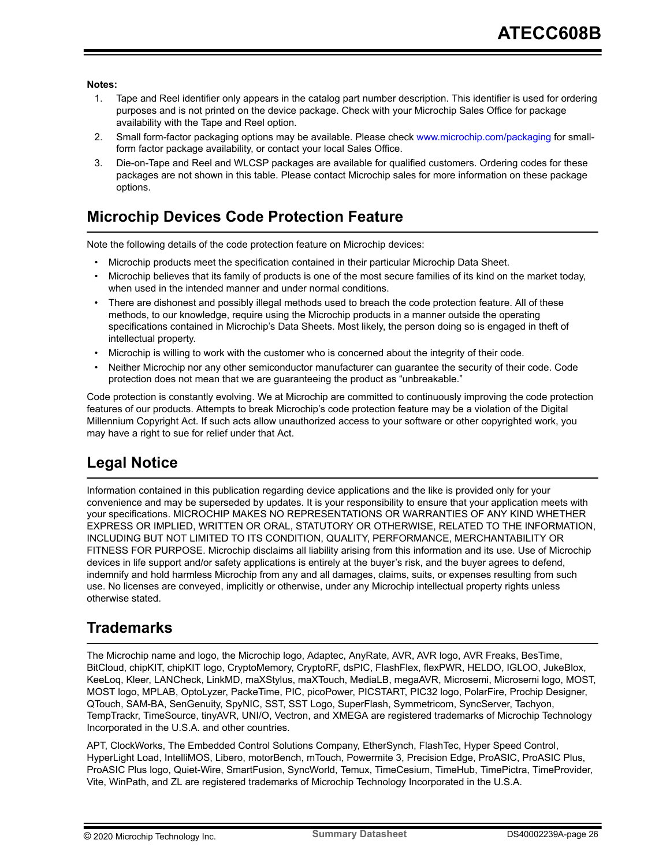#### <span id="page-25-0"></span>**Notes:**

- 1. Tape and Reel identifier only appears in the catalog part number description. This identifier is used for ordering purposes and is not printed on the device package. Check with your Microchip Sales Office for package availability with the Tape and Reel option.
- 2. Small form-factor packaging options may be available. Please check [www.microchip.com/packaging](http://www.microchip.com/packaging) for smallform factor package availability, or contact your local Sales Office.
- 3. Die-on-Tape and Reel and WLCSP packages are available for qualified customers. Ordering codes for these packages are not shown in this table. Please contact Microchip sales for more information on these package options.

## **Microchip Devices Code Protection Feature**

Note the following details of the code protection feature on Microchip devices:

- Microchip products meet the specification contained in their particular Microchip Data Sheet.
- Microchip believes that its family of products is one of the most secure families of its kind on the market today, when used in the intended manner and under normal conditions.
- There are dishonest and possibly illegal methods used to breach the code protection feature. All of these methods, to our knowledge, require using the Microchip products in a manner outside the operating specifications contained in Microchip's Data Sheets. Most likely, the person doing so is engaged in theft of intellectual property.
- Microchip is willing to work with the customer who is concerned about the integrity of their code.
- Neither Microchip nor any other semiconductor manufacturer can guarantee the security of their code. Code protection does not mean that we are guaranteeing the product as "unbreakable."

Code protection is constantly evolving. We at Microchip are committed to continuously improving the code protection features of our products. Attempts to break Microchip's code protection feature may be a violation of the Digital Millennium Copyright Act. If such acts allow unauthorized access to your software or other copyrighted work, you may have a right to sue for relief under that Act.

## **Legal Notice**

Information contained in this publication regarding device applications and the like is provided only for your convenience and may be superseded by updates. It is your responsibility to ensure that your application meets with your specifications. MICROCHIP MAKES NO REPRESENTATIONS OR WARRANTIES OF ANY KIND WHETHER EXPRESS OR IMPLIED, WRITTEN OR ORAL, STATUTORY OR OTHERWISE, RELATED TO THE INFORMATION, INCLUDING BUT NOT LIMITED TO ITS CONDITION, QUALITY, PERFORMANCE, MERCHANTABILITY OR FITNESS FOR PURPOSE. Microchip disclaims all liability arising from this information and its use. Use of Microchip devices in life support and/or safety applications is entirely at the buyer's risk, and the buyer agrees to defend, indemnify and hold harmless Microchip from any and all damages, claims, suits, or expenses resulting from such use. No licenses are conveyed, implicitly or otherwise, under any Microchip intellectual property rights unless otherwise stated.

## **Trademarks**

The Microchip name and logo, the Microchip logo, Adaptec, AnyRate, AVR, AVR logo, AVR Freaks, BesTime, BitCloud, chipKIT, chipKIT logo, CryptoMemory, CryptoRF, dsPIC, FlashFlex, flexPWR, HELDO, IGLOO, JukeBlox, KeeLoq, Kleer, LANCheck, LinkMD, maXStylus, maXTouch, MediaLB, megaAVR, Microsemi, Microsemi logo, MOST, MOST logo, MPLAB, OptoLyzer, PackeTime, PIC, picoPower, PICSTART, PIC32 logo, PolarFire, Prochip Designer, QTouch, SAM-BA, SenGenuity, SpyNIC, SST, SST Logo, SuperFlash, Symmetricom, SyncServer, Tachyon, TempTrackr, TimeSource, tinyAVR, UNI/O, Vectron, and XMEGA are registered trademarks of Microchip Technology Incorporated in the U.S.A. and other countries.

APT, ClockWorks, The Embedded Control Solutions Company, EtherSynch, FlashTec, Hyper Speed Control, HyperLight Load, IntelliMOS, Libero, motorBench, mTouch, Powermite 3, Precision Edge, ProASIC, ProASIC Plus, ProASIC Plus logo, Quiet-Wire, SmartFusion, SyncWorld, Temux, TimeCesium, TimeHub, TimePictra, TimeProvider, Vite, WinPath, and ZL are registered trademarks of Microchip Technology Incorporated in the U.S.A.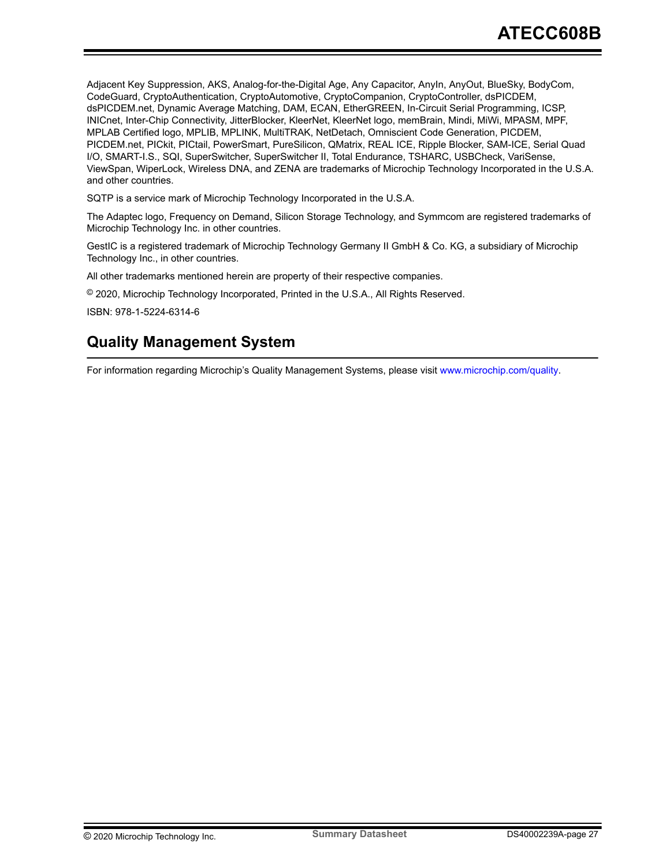<span id="page-26-0"></span>Adjacent Key Suppression, AKS, Analog-for-the-Digital Age, Any Capacitor, AnyIn, AnyOut, BlueSky, BodyCom, CodeGuard, CryptoAuthentication, CryptoAutomotive, CryptoCompanion, CryptoController, dsPICDEM, dsPICDEM.net, Dynamic Average Matching, DAM, ECAN, EtherGREEN, In-Circuit Serial Programming, ICSP, INICnet, Inter-Chip Connectivity, JitterBlocker, KleerNet, KleerNet logo, memBrain, Mindi, MiWi, MPASM, MPF, MPLAB Certified logo, MPLIB, MPLINK, MultiTRAK, NetDetach, Omniscient Code Generation, PICDEM, PICDEM.net, PICkit, PICtail, PowerSmart, PureSilicon, QMatrix, REAL ICE, Ripple Blocker, SAM-ICE, Serial Quad I/O, SMART-I.S., SQI, SuperSwitcher, SuperSwitcher II, Total Endurance, TSHARC, USBCheck, VariSense, ViewSpan, WiperLock, Wireless DNA, and ZENA are trademarks of Microchip Technology Incorporated in the U.S.A. and other countries.

SQTP is a service mark of Microchip Technology Incorporated in the U.S.A.

The Adaptec logo, Frequency on Demand, Silicon Storage Technology, and Symmcom are registered trademarks of Microchip Technology Inc. in other countries.

GestIC is a registered trademark of Microchip Technology Germany II GmbH & Co. KG, a subsidiary of Microchip Technology Inc., in other countries.

All other trademarks mentioned herein are property of their respective companies.

© 2020, Microchip Technology Incorporated, Printed in the U.S.A., All Rights Reserved.

ISBN: 978-1-5224-6314-6

## **Quality Management System**

For information regarding Microchip's Quality Management Systems, please visit [www.microchip.com/quality](http://www.microchip.com/quality).